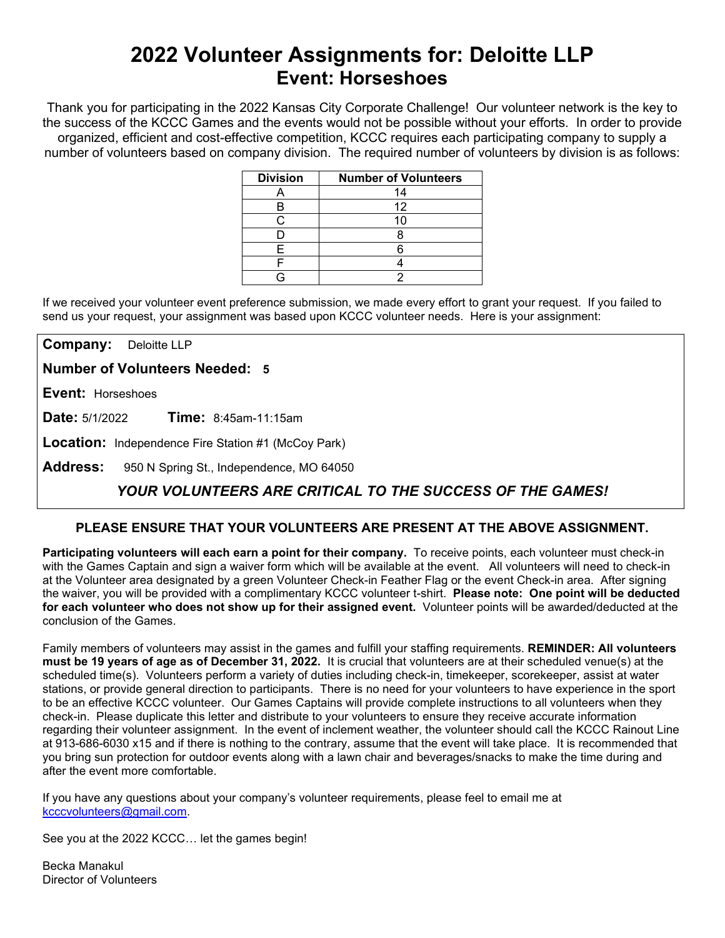# **2022 Volunteer Assignments for: Deloitte LLP Event: Horseshoes**

Thank you for participating in the 2022 Kansas City Corporate Challenge! Our volunteer network is the key to the success of the KCCC Games and the events would not be possible without your efforts.In order to provide organized, efficient and cost-effective competition, KCCC requires each participating company to supply a number of volunteers based on company division. The required number of volunteers by division is as follows:

| <b>Division</b> | <b>Number of Volunteers</b> |
|-----------------|-----------------------------|
|                 | 14                          |
| В               | 12                          |
|                 |                             |
|                 |                             |
| F               |                             |
|                 |                             |
|                 |                             |

If we received your volunteer event preference submission, we made every effort to grant your request. If you failed to send us your request, your assignment was based upon KCCC volunteer needs. Here is your assignment:

**Company:** Deloitte LLP

**Number of Volunteers Needed: 5**

**Event:** Horseshoes

**Date:** 5/1/2022 **Time:** 8:45am-11:15am

**Location:** Independence Fire Station #1 (McCoy Park)

**Address:** 950 N Spring St., Independence, MO 64050

## *YOUR VOLUNTEERS ARE CRITICAL TO THE SUCCESS OF THE GAMES!*

### **PLEASE ENSURE THAT YOUR VOLUNTEERS ARE PRESENT AT THE ABOVE ASSIGNMENT.**

**Participating volunteers will each earn a point for their company.** To receive points, each volunteer must check-in with the Games Captain and sign a waiver form which will be available at the event. All volunteers will need to check-in at the Volunteer area designated by a green Volunteer Check-in Feather Flag or the event Check-in area. After signing the waiver, you will be provided with a complimentary KCCC volunteer t-shirt. **Please note: One point will be deducted for each volunteer who does not show up for their assigned event.** Volunteer points will be awarded/deducted at the conclusion of the Games.

Family members of volunteers may assist in the games and fulfill your staffing requirements. **REMINDER: All volunteers must be 19 years of age as of December 31, 2022.** It is crucial that volunteers are at their scheduled venue(s) at the scheduled time(s). Volunteers perform a variety of duties including check-in, timekeeper, scorekeeper, assist at water stations, or provide general direction to participants. There is no need for your volunteers to have experience in the sport to be an effective KCCC volunteer. Our Games Captains will provide complete instructions to all volunteers when they check-in. Please duplicate this letter and distribute to your volunteers to ensure they receive accurate information regarding their volunteer assignment. In the event of inclement weather, the volunteer should call the KCCC Rainout Line at 913-686-6030 x15 and if there is nothing to the contrary, assume that the event will take place. It is recommended that you bring sun protection for outdoor events along with a lawn chair and beverages/snacks to make the time during and after the event more comfortable.

If you have any questions about your company's volunteer requirements, please feel to email me at [kcccvolunteers@gmail.com.](mailto:kcccvolunteers@gmail.com)

See you at the 2022 KCCC… let the games begin!

Becka Manakul Director of Volunteers